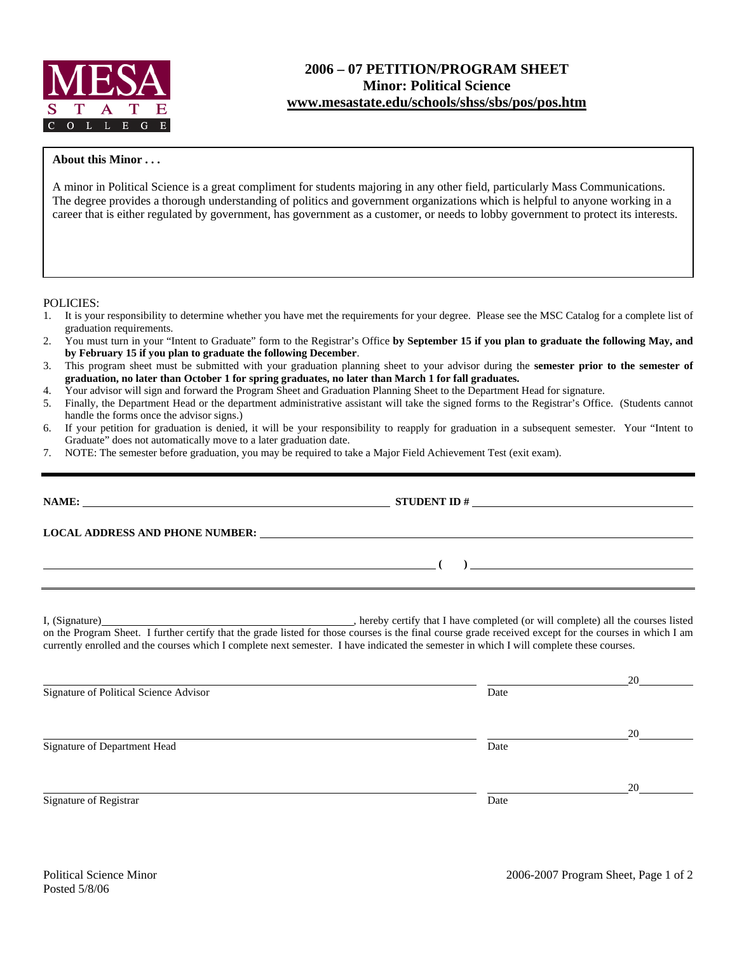

## **2006 – 07 PETITION/PROGRAM SHEET Minor: Political Science www.mesastate.edu/schools/shss/sbs/pos/pos.htm**

## **About this Minor . . .**

A minor in Political Science is a great compliment for students majoring in any other field, particularly Mass Communications. The degree provides a thorough understanding of politics and government organizations which is helpful to anyone working in a career that is either regulated by government, has government as a customer, or needs to lobby government to protect its interests.

POLICIES:

- 1. It is your responsibility to determine whether you have met the requirements for your degree. Please see the MSC Catalog for a complete list of graduation requirements.
- 2. You must turn in your "Intent to Graduate" form to the Registrar's Office **by September 15 if you plan to graduate the following May, and by February 15 if you plan to graduate the following December**.
- 3. This program sheet must be submitted with your graduation planning sheet to your advisor during the **semester prior to the semester of graduation, no later than October 1 for spring graduates, no later than March 1 for fall graduates.**
- 4. Your advisor will sign and forward the Program Sheet and Graduation Planning Sheet to the Department Head for signature.
- 5. Finally, the Department Head or the department administrative assistant will take the signed forms to the Registrar's Office. (Students cannot handle the forms once the advisor signs.)
- 6. If your petition for graduation is denied, it will be your responsibility to reapply for graduation in a subsequent semester. Your "Intent to Graduate" does not automatically move to a later graduation date.
- 7. NOTE: The semester before graduation, you may be required to take a Major Field Achievement Test (exit exam).

| LOCAL ADDRESS AND PHONE NUMBER: Under the contract of the contract of the contract of the contract of the contract of the contract of the contract of the contract of the contract of the contract of the contract of the cont                                                                                                     |      |  |
|------------------------------------------------------------------------------------------------------------------------------------------------------------------------------------------------------------------------------------------------------------------------------------------------------------------------------------|------|--|
| $\overline{a}$ (b) $\overline{a}$ (c) $\overline{a}$ (c) $\overline{a}$ (c) $\overline{a}$ (c) $\overline{a}$ (c) $\overline{a}$ (c) $\overline{a}$ (c) $\overline{a}$ (c) $\overline{a}$ (c) $\overline{a}$ (c) $\overline{a}$ (c) $\overline{a}$ (c) $\overline{a}$ (c) $\overline{a}$ (c) $\overline{a}$ (c) $\overline{a}$ (c) |      |  |
| on the Program Sheet. I further certify that the grade listed for those courses is the final course grade received except for the courses in which I am<br>currently enrolled and the courses which I complete next semester. I have indicated the semester in which I will complete these courses.                                |      |  |
| Signature of Political Science Advisor                                                                                                                                                                                                                                                                                             | Date |  |

Signature of Department Head Date

Signature of Registrar Date and Separature of Registrar Date

<u>20</u>

<u>20</u>